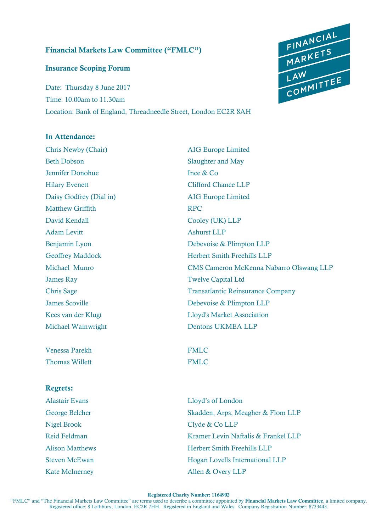### **Financial Markets Law Committee ("FMLC")**

### **Insurance Scoping Forum**

Date: Thursday 8 June 2017 Time: 10.00am to 11.30am Location: Bank of England, Threadneedle Street, London EC2R 8AH

# FINANCIAL<br>MARKETS<br>LAW<br>COMMITTEE

## **In Attendance:**

Chris Newby (Chair) AIG Europe Limited Beth Dobson Slaughter and May Jennifer Donohue Ince & Co Hilary Evenett Clifford Chance LLP Daisy Godfrey (Dial in) AIG Europe Limited Matthew Griffith RPC David Kendall Cooley (UK) LLP Adam Levitt Ashurst LLP James Ray Twelve Capital Ltd Michael Wainwright Dentons UKMEA LLP

Venessa Parekh FMLC Thomas Willett **FMLC** 

### **Regrets:**

Nigel Brook Clyde & Co LLP

Benjamin Lyon Debevoise & Plimpton LLP Geoffrey Maddock Herbert Smith Freehills LLP Michael Munro CMS Cameron McKenna Nabarro Olswang LLP Chris Sage Transatlantic Reinsurance Company James Scoville Debevoise & Plimpton LLP Kees van der Klugt aan der Klugt Lloyd's Market Association

Alastair Evans Lloyd's of London George Belcher Skadden, Arps, Meagher & Flom LLP Reid Feldman Kramer Levin Naftalis & Frankel LLP Alison Matthews Herbert Smith Freehills LLP Steven McEwan Hogan Lovells International LLP Kate McInerney **Allen & Overy LLP** 

**Registered Charity Number: 1164902**

"FMLC" and "The Financial Markets Law Committee" are terms used to describe a committee appointed by **Financial Markets Law Committee**, a limited company. Registered office: 8 Lothbury, London, EC2R 7HH. Registered in England and Wales. Company Registration Number: 8733443.